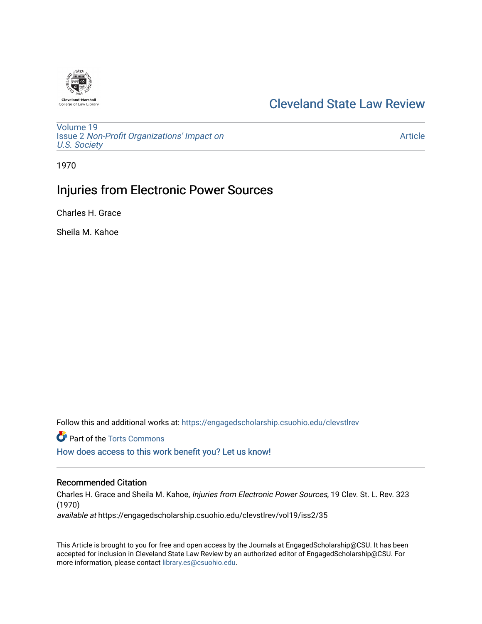

## [Cleveland State Law Review](https://engagedscholarship.csuohio.edu/clevstlrev)

[Volume 19](https://engagedscholarship.csuohio.edu/clevstlrev/vol19) Issue 2 [Non-Profit Organizations' Impact on](https://engagedscholarship.csuohio.edu/clevstlrev/vol19/iss2)  [U.S. Society](https://engagedscholarship.csuohio.edu/clevstlrev/vol19/iss2) 

[Article](https://engagedscholarship.csuohio.edu/clevstlrev/vol19/iss2/35) 

1970

# Injuries from Electronic Power Sources

Charles H. Grace

Sheila M. Kahoe

Follow this and additional works at: [https://engagedscholarship.csuohio.edu/clevstlrev](https://engagedscholarship.csuohio.edu/clevstlrev?utm_source=engagedscholarship.csuohio.edu%2Fclevstlrev%2Fvol19%2Fiss2%2F35&utm_medium=PDF&utm_campaign=PDFCoverPages)

**Part of the [Torts Commons](http://network.bepress.com/hgg/discipline/913?utm_source=engagedscholarship.csuohio.edu%2Fclevstlrev%2Fvol19%2Fiss2%2F35&utm_medium=PDF&utm_campaign=PDFCoverPages)** 

[How does access to this work benefit you? Let us know!](http://library.csuohio.edu/engaged/)

### Recommended Citation

Charles H. Grace and Sheila M. Kahoe, Injuries from Electronic Power Sources, 19 Clev. St. L. Rev. 323 (1970)

available at https://engagedscholarship.csuohio.edu/clevstlrev/vol19/iss2/35

This Article is brought to you for free and open access by the Journals at EngagedScholarship@CSU. It has been accepted for inclusion in Cleveland State Law Review by an authorized editor of EngagedScholarship@CSU. For more information, please contact [library.es@csuohio.edu](mailto:library.es@csuohio.edu).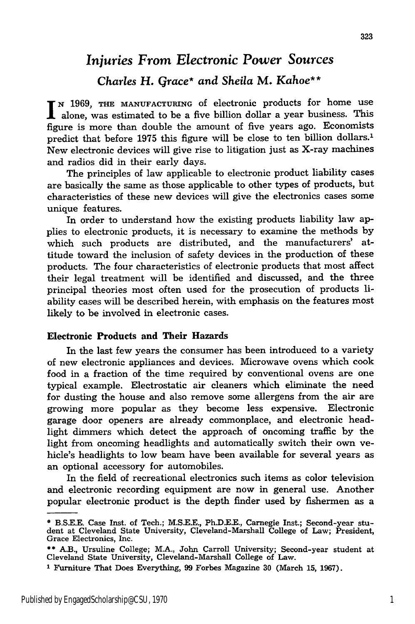# *Injuries From Electronic Power Sources*

## *Charles* **H.** *Grace\* and Sheila* **M.** *Kahoe\*\**

**N 1969, THE MANUFACTURING** of electronic products for home use alone, was estimated to be a five billion dollar a year business. This figure is more than double the amount of five years ago. Economists predict that before **1975** this figure will be close to ten billion dollars.' New electronic devices will give rise to litigation just as X-ray machines and radios did in their early days.

The principles of law applicable to electronic product liability cases are basically the same as those applicable to other types of products, but characteristics of these new devices will give the electronics cases some unique features.

In order to understand how the existing products liability law **ap**plies to electronic products, it is necessary to examine the methods by which such products are distributed, and the manufacturers' attitude toward the inclusion of safety devices in the production of these products. The four characteristics of electronic products that most affect their legal treatment will be identified and discussed, and the three principal theories most often used for the prosecution of products liability cases will be described herein, with emphasis on the features most likely to be involved in electronic cases.

#### Electronic Products and Their Hazards

In the last few years the consumer has been introduced to a variety of new electronic appliances and devices. Microwave ovens which cook food in a fraction of the time required by conventional ovens are one typical example. Electrostatic air cleaners which eliminate the need for dusting the house and also remove some allergens from the air are growing more popular as they become less expensive. Electronic garage door openers are already commonplace, and electronic headlight dimmers which detect the approach of oncoming traffic **by** the light from oncoming headlights and automatically switch their own vehicle's headlights to low beam have been available for several years as an optional accessory for automobiles.

In the field of recreational electronics such items as color television and electronic recording equipment are now in general use. Another popular electronic product is the depth finder used by fishermen as a

<sup>\*</sup> **B.S.E.E.** Case Inst. of Tech.; **M.S.E.E., Ph.D.E.E.,** Carnegie Inst.; Second-year student at Cleveland State University, Cleveland-Marshall College of Law; President, Grace Electronics, Inc.

<sup>\*\*</sup> A.B., Ursuline College; M.A., John Carroll University; Second-year student at Cleveland State University, Cleveland-Marshall College of Law.

**I** Furniture That Does Everything, 99 Forbes Magazine **30** (March **15,** 1967).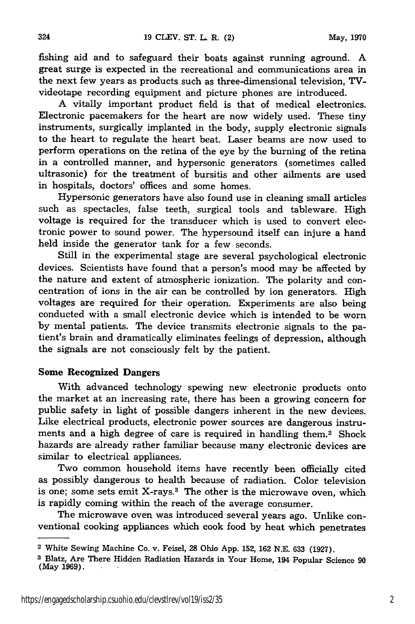fishing aid and to safeguard their boats against running aground. A great surge is expected in the recreational and communications area in the next few years as products such as three-dimensional television, TVvideotape recording equipment and picture phones are introduced.

A vitally important product field is that of medical electronics. Electronic pacemakers for the heart are now widely used. These tiny instruments, surgically implanted in the body, supply electronic signals to the heart to regulate the heart beat. Laser beams are now used to perform operations on the retina of the eye by the burning of the retina in a controlled manner, and hypersonic generators (sometimes called ultrasonic) for the treatment of bursitis and other ailments are used in hospitals, doctors' offices and some homes.

Hypersonic generators have also found use in cleaning small articles such as spectacles, false teeth, surgical tools and tableware. High voltage is required for the transducer which is used to convert electronic power to sound power. The hypersound itself can injure a hand held inside the generator tank for a few seconds.

Still in the experimental stage are several psychological electronic devices. Scientists have found that a person's mood may be affected by the nature and extent of atmospheric ionization. The polarity and concentration of ions in the air can be controlled by ion generators. High voltages are required for their operation. Experiments are also being conducted with a small electronic device which is intended to be worn by mental patients. The device transmits electronic signals to the patient's brain and dramatically eliminates feelings of depression, although the signals are not consciously felt by the patient.

#### Some Recognized **Dangers**

With advanced technology spewing new electronic products onto the market at an increasing rate, there has been a growing concern for public safety in light of possible dangers inherent in the new devices. Like electrical products, electronic power sources are dangerous instruments and a high degree of care is required in handling them.2 Shock hazards are already rather familiar because many electronic devices are similar to electrical appliances.

Two common household items have recently been officially cited as possibly dangerous to health because of radiation. Color television is one; some sets emit X-rays.<sup>3</sup> The other is the microwave oven, which is rapidly coming within the reach of the average consumer.

The microwave oven was introduced several years ago. Unlike conventional cooking appliances which cook food by heat which penetrates

**<sup>2</sup>**White Sewing Machine Co. v. Feisel, **28** Ohio **App. 152, 162 N.E. 633 (1927).**

**<sup>3</sup>** Blatz, Are There Hidden Radiation Hazards in Your Home, 194 Popular Science **90** (May **1969).**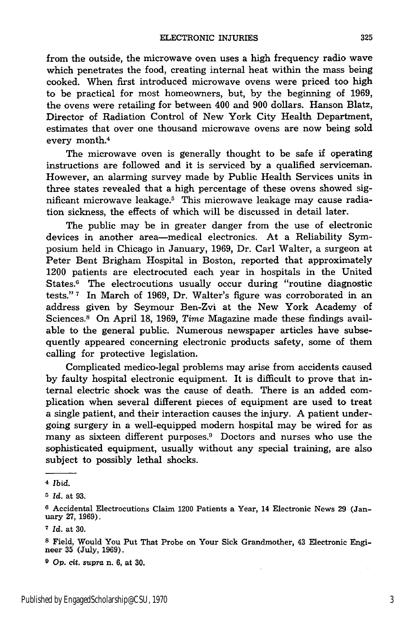from the outside, the microwave oven uses a high frequency radio wave which penetrates the food, creating internal heat within the mass being cooked. When first introduced microwave ovens were priced too high to be practical for most homeowners, but, by the beginning of 1969, the ovens were retailing for between 400 and 900 dollars. Hanson Blatz, Director of Radiation Control of New York City Health Department, estimates that over one thousand microwave ovens are now being sold every month.<sup>4</sup>

The microwave oven is generally thought to be safe if operating instructions are followed and it is serviced by a qualified serviceman. However, an alarming survey made by Public Health Services units in three states revealed that a high percentage of these ovens showed significant microwave leakage.<sup>5</sup> This microwave leakage may cause radiation sickness, the effects of which will be discussed in detail later.

The public may be in greater danger from the use of electronic devices in another area-medical electronics. At a Reliability Symposium held in Chicago in January, 1969, Dr. Carl Walter, a surgeon at Peter Bent Brigham Hospital in Boston, reported that approximately 1200 patients are electrocuted each year in hospitals in the United States.' The electrocutions usually occur during "routine diagnostic tests." **7** In March of 1969, Dr. Walter's figure was corroborated in an address given by Seymour Ben-Zvi at the New York Academy of Sciences.8 On April 18, 1969, *Time* Magazine made these findings available to the general public. Numerous newspaper articles have subsequently appeared concerning electronic products safety, some of them calling for protective legislation.

Complicated medico-legal problems may arise from accidents caused by faulty hospital electronic equipment. It is difficult to prove that internal electric shock was the cause of death. There is an added complication when several different pieces of equipment are used to treat a single patient, and their interaction causes the injury. A patient undergoing surgery in a well-equipped modern hospital may be wired for as many as sixteen different purposes.<sup>9</sup> Doctors and nurses who use the sophisticated equipment, usually without any special training, are also subject to possibly lethal shocks.

<sup>4</sup>*Ibid.*

*<sup>5</sup> Id.* at 93.

**<sup>6</sup>** Accidental Electrocutions Claim 1200 Patients a Year, 14 Electronic News 29 (January **27,** 1969).

*<sup>7</sup> Id.* at 30.

<sup>8</sup> Field, Would You Put That Probe on Your Sick Grandmother, 43 Electronic Engineer **35** (July, 1969).

**<sup>9</sup>***op.* cit. supra n. **6,** at **30.**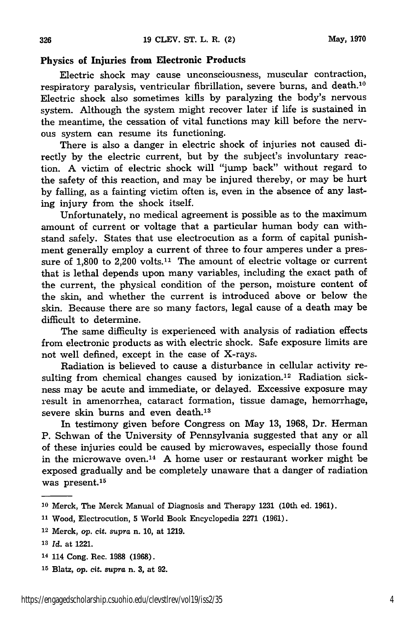#### **Physics of Injuries from Electronic Products**

Electric shock may cause unconsciousness, muscular contraction, respiratory paralysis, ventricular fibrillation, severe burns, and death.<sup>10</sup> Electric shock also sometimes kills by paralyzing the body's nervous system. Although the system might recover later if life is sustained in the meantime, the cessation of vital functions may kill before the nervous system can resume its functioning.

There is also a danger in electric shock of injuries not caused directly by the electric current, but by the subject's involuntary reaction. **A** victim of electric shock will "jump back" without regard to the safety of this reaction, and may be injured thereby, or may be hurt by falling, as a fainting victim often is, even in the absence of any lasting injury from the shock itself.

Unfortunately, no medical agreement is possible as to the maximum amount of current or voltage that a particular human body can withstand safely. States that use electrocution as a form of capital punishment generally employ a current of three to four amperes under a pressure of **1,800** to 2,200 volts.11 The amount of electric voltage or current that is lethal depends upon many variables, including the exact path of the current, the physical condition of the person, moisture content of the skin, and whether the current is introduced above or below the skin. Because there are so many factors, legal cause of a death may be difficult to determine.

The same difficulty is experienced with analysis of radiation effects from electronic products as with electric shock. Safe exposure limits are not well defined, except in the case of X-rays.

Radiation is believed to cause a disturbance in cellular activity resulting from chemical changes caused by ionization. 12 Radiation sickness may be acute and immediate, or delayed. Excessive exposure may result in amenorrhea, cataract formation, tissue damage, hemorrhage, severe skin burns and even death.<sup>13</sup>

In testimony given before Congress on May **13,** 1968, Dr. Herman P. Schwan of the University of Pennsylvania suggested that any or all of these injuries could be caused by microwaves, especially those found in the microwave oven.<sup>14</sup> A home user or restaurant worker might be exposed gradually and be completely unaware that a danger of radiation was present.15

- 14 114 Cong. Rec. **1988** (1968).
- **<sup>15</sup>**Blatz, *op.* cit. *supra* n. **3,** at **92.**

**<sup>10</sup>**Merck, The Merck Manual of Diagnosis and Therapy 1231 (10th ed. 1961).

**<sup>11</sup>**Wood, Electrocution, 5 World Book Encyclopedia 2271 (1961).

**<sup>12</sup>**Merck, op. cit. *supra* n. **10,** at **1219.**

*<sup>13</sup>Id.* at 1221.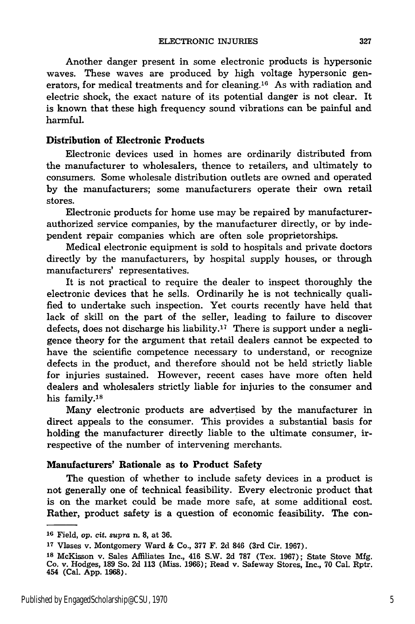Another danger present in some electronic products is hypersonic waves. These waves are produced by high voltage hypersonic generators, for medical treatments and for cleaning.<sup>16</sup> As with radiation and electric shock, the exact nature of its potential danger is not clear. It is known that these high frequency sound vibrations can be painful and harmful.

#### Distribution of Electronic Products

Electronic devices used in homes are ordinarily distributed from the manufacturer to wholesalers, thence to retailers, and ultimately to consumers. Some wholesale distribution outlets are owned and operated by the manufacturers; some manufacturers operate their own retail stores.

Electronic products for home use may be repaired by manufacturerauthorized service companies, by the manufacturer directly, or by independent repair companies which are often sole proprietorships.

Medical electronic equipment is sold to hospitals and private doctors directly by the manufacturers, by hospital supply houses, or through manufacturers' representatives.

It is not practical to require the dealer to inspect thoroughly the electronic devices that he sells. Ordinarily he is not technically qualified to undertake such inspection. Yet courts recently have held that lack of skill on the part of the seller, leading to failure to discover defects, does not discharge his liability.<sup>17</sup> There is support under a negligence theory for the argument that retail dealers cannot be expected to have the scientific competence necessary to understand, or recognize defects in the product, and therefore should not be held strictly liable for injuries sustained. However, recent cases have more often held dealers and wholesalers strictly liable for injuries to the consumer and his family. $18$ 

Many electronic products are advertised by the manufacturer in direct appeals to the consumer. This provides a substantial basis for holding the manufacturer directly liable to the ultimate consumer, irrespective of the number of intervening merchants.

#### Manufacturers' Rationale as to Product Safety

The question of whether to include safety devices in a product is not generally one of technical feasibility. Every electronic product that is on the market could be made more safe, at some additional cost. Rather, product safety is a question of economic feasibility. The con-

**<sup>16</sup>**Field, *op.* cit. *supra* n. **8,** at **36.**

**<sup>17</sup>**Vlases v. Montgomery Ward & Co., 377 F. 2d 846 (3rd Cir. 1967).

**<sup>18</sup>**McKisson v. Sales Affiliates Inc., 416 S.W. 2d **787** (Tex. 1967); State Stove Mfg. Co. v. Hodges, **189** So. **2d 113** (Miss. 1966); Read v. Safeway Stores, Inc., 70 Cal. Rptr. 454 (Cal. App. 1968).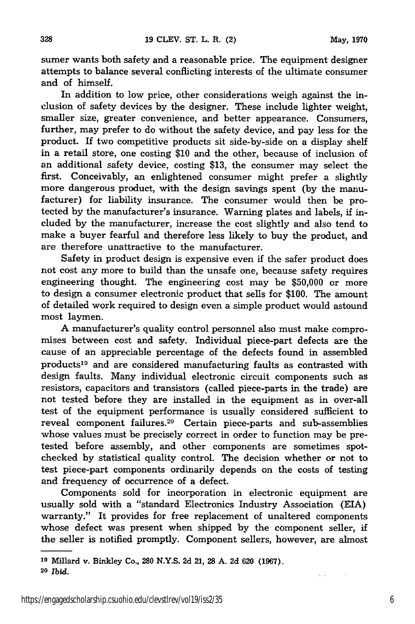sumer wants both safety and a reasonable price. The equipment designer attempts to balance several conflicting interests of the ultimate consumer and of himself.

In addition to low price, other considerations weigh against the inclusion of safety devices by the designer. These include lighter weight, smaller size, greater convenience, and better appearance. Consumers, further, may prefer to do without the safety device, and pay less for the product. If two competitive products sit side-by-side on a display shelf in a retail store, one costing \$10 and the other, because of inclusion of an additional safety device, costing \$13, the consumer may select the first. Conceivably, an enlightened consumer might prefer a slightly more dangerous product, with the design savings spent (by the manufacturer) for liability insurance. The consumer would then be protected by the manufacturer's insurance. Warning plates and labels, if included by the manufacturer, increase the cost slightly and also tend to make a buyer fearful and therefore less likely to buy the product, and are therefore unattractive to the manufacturer.

Safety in product design is expensive even if the safer product does not cost any more to build than the unsafe one, because safety requires engineering thought. The engineering cost may be \$50,000 or more to design a consumer electronic product that sells for \$100. The amount of detailed work required to design even a simple product would astound most laymen.

A manufacturer's quality control personnel also must make compromises between cost and safety. Individual piece-part defects are the cause of an appreciable percentage of the defects found in assembled products 19 and are considered manufacturing faults as contrasted with design faults. Many individual electronic circuit components such as resistors, capacitors and transistors (called piece-parts in the trade) are not tested before they are installed in the equipment as in over-all test of the equipment performance is usually considered sufficient to reveal component failures.<sup>20</sup> Certain piece-parts and sub-assemblies whose values must be precisely correct in order to function may be pretested before assembly, and other components are sometimes spotchecked by statistical quality control. The decision whether or not to test piece-part components ordinarily depends on the costs of testing and frequency of occurrence of a defect.

Components sold for incorporation in electronic equipment are usually sold with a "standard Electronics Industry Association (EIA) warranty." It provides for free replacement of unaltered components whose defect was present when shipped by the component seller, if the seller is notified promptly. Component sellers, however, are almost

328

 $\mathbb{Z}^n$  .

**<sup>19</sup>**Millard v. Binidey Co., **280 N.Y.S. 2d** 21, **28 A.** 2d 620 **(1967).**

**<sup>20</sup>** *Ibid.*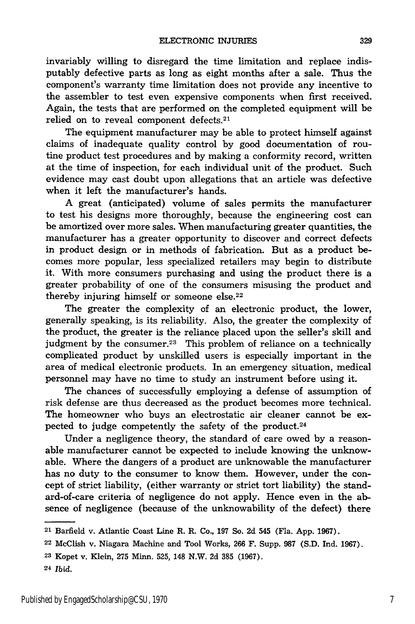invariably willing to disregard the time limitation and replace indisputably defective parts as long as eight months after a sale. Thus the component's warranty time limitation does not provide any incentive to the assembler to test even expensive components when first received. Again, the tests that are performed on the completed equipment will be relied on to reveal component defects.<sup>21</sup>

The equipment manufacturer may be able to protect himself against claims of inadequate quality control **by** good documentation of routine product test procedures and **by** making a conformity record, written at the time of inspection, for each individual unit of the product. Such evidence may cast doubt upon allegations that an article was defective when it left the manufacturer's hands.

**A** great (anticipated) volume of sales permits the manufacturer to test his designs more thoroughly, because the engineering cost can be amortized over more sales. When manufacturing greater quantities, the manufacturer has a greater opportunity to discover and correct defects in product design or in methods of fabrication. But as a product becomes more popular, less specialized retailers may begin to distribute it. With more consumers purchasing and using the product there is a greater probability of one of the consumers misusing the product and thereby injuring himself or someone else.<sup>22</sup>

The greater the complexity of an electronic product, the lower, generally speaking, is its reliability. Also, the greater the complexity of the product, the greater is the reliance placed upon the seller's skill and judgment by the consumer.<sup>23</sup> This problem of reliance on a technically complicated product **by** unskilled users is especially important in the area of medical electronic products. In an emergency situation, medical personnel may have no time to study an instrument before using it.

The chances of successfully employing a defense of assumption of risk defense are thus decreased as the product becomes more technical. The homeowner who buys an electrostatic air cleaner cannot be expected to judge competently the safety of the product.24

Under a negligence theory, the standard of care owed **by** a reasonable manufacturer cannot be expected to include knowing the unknowable. Where the dangers of a product are unknowable the manufacturer has no duty to the consumer to know them. However, under the concept of strict liability, (either warranty or strict tort liability) the standard-of-care criteria of negligence do not apply. Hence even in the absence of negligence (because of the unknowability of the defect) there

**<sup>21</sup>**Barfield v. Atlantic Coast Line R. R. Co., **197** So. **2d** 545 (Fla. **App. 1967).**

**<sup>22</sup>**McClish v. Niagara Machine and Tool Works, **266** F. Supp. **987 (S.D. Ind. 1967).**

**<sup>23</sup>** Kopet v. Klein, **275** Minn. **525,** 148 N.W. **2d 385 (1967).**

**<sup>24</sup>***Ibid.*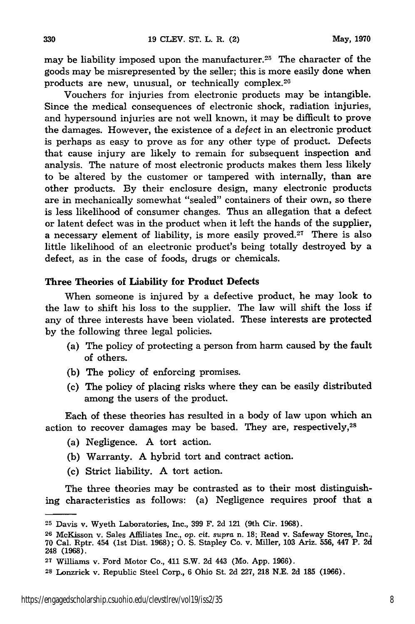may be liability imposed upon the manufacturer.<sup>25</sup> The character of the goods may be misrepresented by the seller; this is more easily done when products are new, unusual, or technically complex.26

Vouchers for injuries from electronic products may be intangible. Since the medical consequences of electronic shock, radiation injuries, and hypersound injuries are not well known, it may be difficult to prove the damages. However, the existence of a defect in an electronic product is perhaps as easy to prove as for any other type of product. Defects that cause injury are likely to remain for subsequent inspection and analysis. The nature of most electronic products makes them less likely to be altered by the customer or tampered with internally, than are other products. By their enclosure design, many electronic products are in mechanically somewhat "sealed" containers of their own, so there is less likelihood of consumer changes. Thus an allegation that a defect or latent defect was in the product when it left the hands of the supplier, a necessary element of liability, is more easily proved.<sup>27</sup> There is also little likelihood of an electronic product's being totally destroyed by a defect, as in the case of foods, drugs or chemicals.

#### Three Theories of Liability for Product Defects

When someone is injured by a defective product, he may look to the law to shift his loss to the supplier. The law will shift the loss if any of three interests have been violated. These interests are protected by the following three legal policies.

- (a) The policy of protecting a person from harm caused by the fault of others.
- (b) The policy of enforcing promises.
- (c) The policy of placing risks where they can be easily distributed among the users of the product.

Each of these theories has resulted in a body of law upon which an action to recover damages may be based. They are, respectively,<sup>28</sup>

- (a) Negligence. A tort action.
- (b) Warranty. A hybrid tort and contract action.
- (c) Strict liability. A tort action.

The three theories may be contrasted as to their most distinguishing characteristics as follows: (a) Negligence requires proof that a

**<sup>25</sup>**Davis v. Wyeth Laboratories, Inc., **399** F. 2d 121 (9th Cir. **1968).**

**<sup>26</sup>**McKisson v. Sales Affiliates Inc., op. cit. *supra* n. **18;** Read v. Safeway Stores, Inc., 70 Cal. Rptr. 454 (1st Dist. 1968); **0. S.** Stapley Co. v. Miller, **103** Ariz. 556, 447 P. 2d 248 (1968).

<sup>2</sup>T Williams v. Ford Motor Co., 411 S.W. 2d 443 (Mo. App. 1966).

**<sup>28</sup>**Lonzrick v. Republic Steel Corp., **6** Ohio St. 2d 227, **218** N.E. 2d **185** (1966).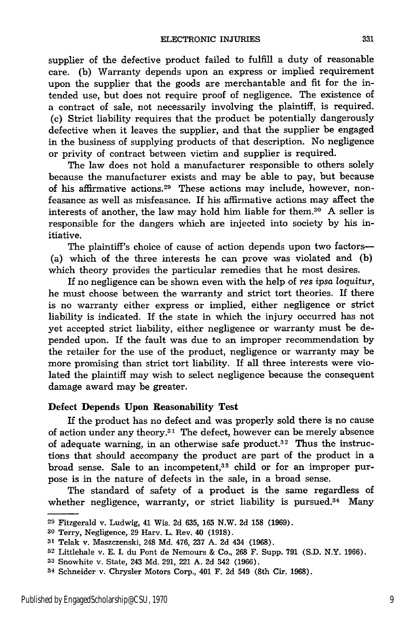supplier of the defective product failed to fulfill a duty of reasonable care. (b) Warranty depends upon an express or implied requirement upon the supplier that the goods are merchantable and fit for the intended use, but does not require proof of negligence. The existence of a contract of sale, not necessarily involving the plaintiff, is required. (c) Strict liability requires that the product be potentially dangerously defective when it leaves the supplier, and that the supplier be engaged in the business of supplying products of that description. No negligence or privity of contract between victim and supplier is required.

The law does not hold a manufacturer responsible to others solely because the manufacturer exists and may be able to pay, but because of his affirmative actions. 29 These actions may include, however, nonfeasance as well as misfeasance. If his affirmative actions may affect the interests of another, the law may hold him liable for them. $30$  A seller is responsible for the dangers which are injected into society by his initiative.

The plaintiff's choice of cause of action depends upon two factors-(a) which of the three interests he can prove was violated and (b) which theory provides the particular remedies that he most desires.

If no negligence can be shown even with the help of *res ipsa loquitur,* he must choose between the warranty and strict tort theories. If there is no warranty either express or implied, either negligence or strict liability is indicated. If the state in which the injury occurred has not yet accepted strict liability, either negligence or warranty must be depended upon. If the fault was due to an improper recommendation by the retailer for the use of the product, negligence or warranty may be more promising than strict tort liability. If all three interests were violated the plaintiff may wish to select negligence because the consequent damage award may be greater.

#### Defect Depends Upon Reasonability Test

If the product has no defect and was properly sold there is no cause of action under any theory.<sup>31</sup> The defect, however can be merely absence of adequate warning, in an otherwise safe product.<sup>32</sup> Thus the instructions that should accompany the product are part of the product in a broad sense. Sale to an incompetent,<sup>33</sup> child or for an improper purpose is in the nature of defects in the sale, in a broad sense.

The standard of safety of a product is the same regardless of whether negligence, warranty, or strict liability is pursued.<sup>34</sup> Many

**<sup>29</sup>** Fitzgerald v. Ludwig, 41 Wis. 2d 635, 165 N.W. 2d **158** (1969).

**<sup>30</sup>**Terry, Negligence, 29 Harv. L. Rev. 40 **(1918).**

**<sup>31</sup>**Telak v. Maszczenski, 248 Md. 476, 237 A. 2d 434 (1968).

**<sup>32</sup>**Littlehale v. E. I. du Pont de Nemours & Co., 268 F. Supp. 791 (S.D. N.Y. 1966).

**<sup>33</sup>**Snowhite v. State, 243 Md. 291, 221 A. 2d 342 (1966).

<sup>34</sup> Schneider v. Chrysler Motors Corp., 401 F. **2d** 549 (8th Cir. 1968).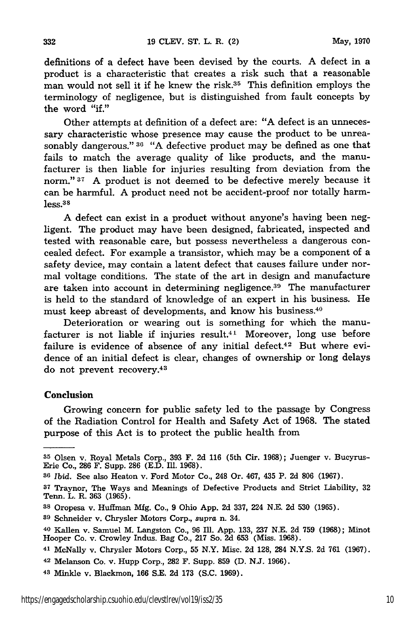definitions of a defect have been devised by the courts. A defect in a product is a characteristic that creates a risk such that a reasonable man would not sell it if he knew the risk. $35$  This definition employs the terminology of negligence, but is distinguished from fault concepts by the word "if."

Other attempts at definition of a defect are: "A defect is an unnecessary characteristic whose presence may cause the product to be unreasonably dangerous." **36** "A defective product may be defined as one that fails to match the average quality of like products, and the manufacturer is then liable for injuries resulting from deviation from the norm." **37** A product is not deemed to be defective merely because it can be harmful. A product need not be accident-proof nor totally harmless. <sup>38</sup>

A defect can exist in a product without anyone's having been negligent. The product may have been designed, fabricated, inspected and tested with reasonable care, but possess nevertheless a dangerous concealed defect. For example a transistor, which may be a component of a safety device, may contain a latent defect that causes failure under normal voltage conditions. The state of the art in design and manufacture are taken into account in determining negligence.<sup>39</sup> The manufacturer is held to the standard of knowledge of an expert in his business. He must keep abreast of developments, and know his business.<sup>40</sup>

Deterioration or wearing out is something for which the manufacturer is not liable if injuries result.<sup>41</sup> Moreover, long use before failure is evidence of absence of any initial defect.<sup>42</sup> But where evidence of an initial defect is clear, changes of ownership or long delays do not prevent recovery.<sup>43</sup>

#### Conclusion

Growing concern for public safety led to the passage by Congress of the Radiation Control for Health and Safety Act of 1968. The stated purpose of this Act is to protect the public health from

**<sup>35</sup>** Olsen v. Royal Metals Corp., 393 F. 2d 116 (5th Cir. 1968); Juenger v. Bucyrus-Erie Co., 286 F. Supp. 286 (E.D. Ill. 1968).

*<sup>86</sup>Ibid.* See also Heaton v. Ford Motor Co., 248 Or. 467, 435 P. 2d 806 (1967).

**<sup>37</sup>**Traynor, The Ways and Meanings of Defective Products and Strict Liability, 32 Tenn. L. R. 363 (1965).

**<sup>38</sup>** Oropesa v. Huffman Mfg. Co., 9 Ohio App. 2d 337, 224 N.E. 2d 530 (1965).

**<sup>39</sup>**Schneider v. Chrysler Motors Corp., *supra* n. 34.

**<sup>40</sup>** Kallen v. Samuel M. Langston Co., 96 **Ill.** App. 133, 237 N.E. 2d 759 (1968); Minot Hooper Co. v. Crowley Indus. Bag Co., 217 So. 2d 653 (Miss. 1968).

<sup>41</sup> McNally v. Chrysler Motors Corp., 55 N.Y. Misc. 2d 128, 284 N.Y.S. 2d 761 (1967).

<sup>42</sup> Melanson Co. v. Hupp Corp., 282 F. Supp. 859 (D. N.J. 1966).

**<sup>43</sup>**Minkle v. Blackmon, 166 S.E. 2d 173 (S.C. 1969).